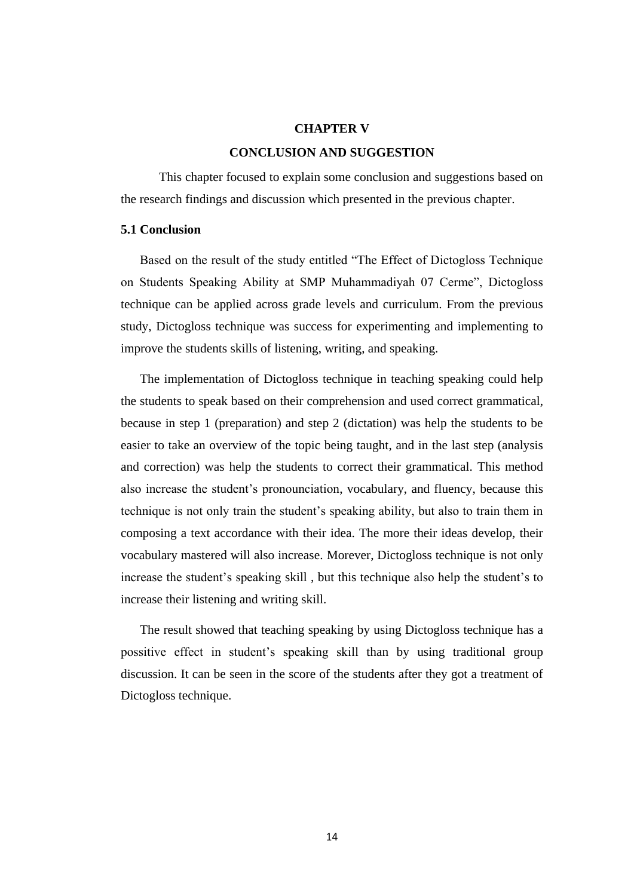## **CHAPTER V**

## **CONCLUSION AND SUGGESTION**

This chapter focused to explain some conclusion and suggestions based on the research findings and discussion which presented in the previous chapter.

# **5.1 Conclusion**

Based on the result of the study entitled "The Effect of Dictogloss Technique on Students Speaking Ability at SMP Muhammadiyah 07 Cerme", Dictogloss technique can be applied across grade levels and curriculum. From the previous study, Dictogloss technique was success for experimenting and implementing to improve the students skills of listening, writing, and speaking.

The implementation of Dictogloss technique in teaching speaking could help the students to speak based on their comprehension and used correct grammatical, because in step 1 (preparation) and step 2 (dictation) was help the students to be easier to take an overview of the topic being taught, and in the last step (analysis and correction) was help the students to correct their grammatical. This method also increase the student's pronounciation, vocabulary, and fluency, because this technique is not only train the student's speaking ability, but also to train them in composing a text accordance with their idea. The more their ideas develop, their vocabulary mastered will also increase. Morever, Dictogloss technique is not only increase the student's speaking skill , but this technique also help the student's to increase their listening and writing skill.

The result showed that teaching speaking by using Dictogloss technique has a possitive effect in student's speaking skill than by using traditional group discussion. It can be seen in the score of the students after they got a treatment of Dictogloss technique.